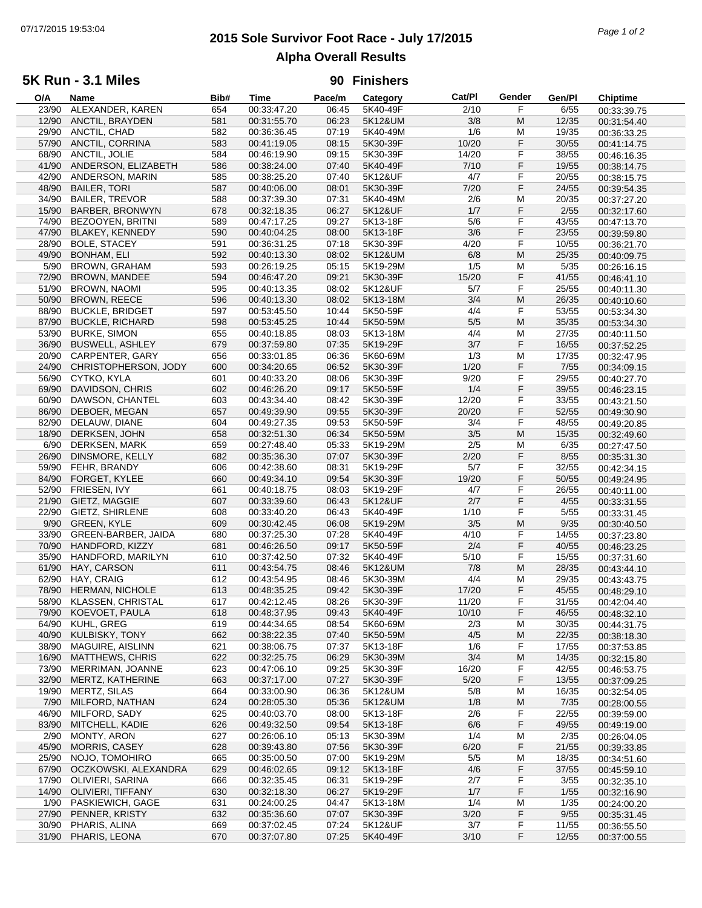# **2015 Sole Survivor Foot Race - July 17/2015** 07/17/2015 19:53:04 *Page 1 of 2* **Alpha Overall Results**

## **5K Run - 3.1 Miles**

#### **90 Finishers**

| O/A   | Name                   | Bib# | <b>Time</b> | Pace/m | Category | Cat/PI | Gender | Gen/Pl | <b>Chiptime</b> |
|-------|------------------------|------|-------------|--------|----------|--------|--------|--------|-----------------|
| 23/90 | ALEXANDER, KAREN       | 654  | 00:33:47.20 | 06:45  | 5K40-49F | 2/10   | F      | 6/55   | 00:33:39.75     |
| 12/90 | ANCTIL, BRAYDEN        | 581  | 00:31:55.70 | 06:23  | 5K12&UM  | 3/8    | M      | 12/35  | 00:31:54.40     |
| 29/90 | ANCTIL, CHAD           | 582  | 00:36:36.45 | 07:19  | 5K40-49M | 1/6    | M      | 19/35  | 00:36:33.25     |
| 57/90 | ANCTIL, CORRINA        | 583  | 00:41:19.05 | 08:15  | 5K30-39F | 10/20  | F      | 30/55  | 00:41:14.75     |
| 68/90 | ANCTIL, JOLIE          | 584  | 00:46:19.90 | 09:15  | 5K30-39F | 14/20  | F      | 38/55  | 00:46:16.35     |
| 41/90 | ANDERSON, ELIZABETH    | 586  | 00:38:24.00 | 07:40  | 5K40-49F | 7/10   | F      | 19/55  |                 |
| 42/90 | ANDERSON, MARIN        |      |             |        |          |        |        |        | 00:38:14.75     |
|       |                        | 585  | 00:38:25.20 | 07:40  | 5K12&UF  | 4/7    | F      | 20/55  | 00:38:15.75     |
| 48/90 | <b>BAILER, TORI</b>    | 587  | 00:40:06.00 | 08:01  | 5K30-39F | 7/20   | F      | 24/55  | 00:39:54.35     |
| 34/90 | <b>BAILER, TREVOR</b>  | 588  | 00:37:39.30 | 07:31  | 5K40-49M | 2/6    | M      | 20/35  | 00:37:27.20     |
| 15/90 | <b>BARBER, BRONWYN</b> | 678  | 00:32:18.35 | 06:27  | 5K12&UF  | 1/7    | F      | 2/55   | 00:32:17.60     |
| 74/90 | BEZOOYEN, BRITNI       | 589  | 00:47:17.25 | 09:27  | 5K13-18F | 5/6    | F      | 43/55  | 00:47:13.70     |
| 47/90 | <b>BLAKEY, KENNEDY</b> | 590  | 00:40:04.25 | 08:00  | 5K13-18F | 3/6    | F      | 23/55  | 00:39:59.80     |
| 28/90 | <b>BOLE, STACEY</b>    | 591  | 00:36:31.25 | 07:18  | 5K30-39F | 4/20   | F      | 10/55  | 00:36:21.70     |
| 49/90 | BONHAM, ELI            | 592  | 00:40:13.30 | 08:02  | 5K12&UM  | 6/8    | M      | 25/35  | 00:40:09.75     |
| 5/90  | <b>BROWN, GRAHAM</b>   | 593  | 00:26:19.25 | 05:15  | 5K19-29M | 1/5    | M      | 5/35   | 00:26:16.15     |
| 72/90 | <b>BROWN, MANDEE</b>   | 594  | 00:46:47.20 | 09:21  | 5K30-39F | 15/20  | F      | 41/55  | 00:46:41.10     |
| 51/90 | <b>BROWN, NAOMI</b>    | 595  | 00:40:13.35 | 08:02  | 5K12&UF  | 5/7    | F      | 25/55  |                 |
|       |                        |      |             |        |          |        | M      |        | 00:40:11.30     |
| 50/90 | <b>BROWN, REECE</b>    | 596  | 00:40:13.30 | 08:02  | 5K13-18M | 3/4    |        | 26/35  | 00:40:10.60     |
| 88/90 | <b>BUCKLE, BRIDGET</b> | 597  | 00:53:45.50 | 10:44  | 5K50-59F | 4/4    | F      | 53/55  | 00:53:34.30     |
| 87/90 | <b>BUCKLE, RICHARD</b> | 598  | 00:53:45.25 | 10:44  | 5K50-59M | 5/5    | M      | 35/35  | 00:53:34.30     |
| 53/90 | <b>BURKE, SIMON</b>    | 655  | 00:40:18.85 | 08:03  | 5K13-18M | 4/4    | M      | 27/35  | 00:40:11.50     |
| 36/90 | <b>BUSWELL, ASHLEY</b> | 679  | 00:37:59.80 | 07:35  | 5K19-29F | 3/7    | F      | 16/55  | 00:37:52.25     |
| 20/90 | <b>CARPENTER, GARY</b> | 656  | 00:33:01.85 | 06:36  | 5K60-69M | 1/3    | M      | 17/35  | 00:32:47.95     |
| 24/90 | CHRISTOPHERSON, JODY   | 600  | 00:34:20.65 | 06:52  | 5K30-39F | 1/20   | F      | 7/55   | 00:34:09.15     |
| 56/90 | CYTKO, KYLA            | 601  | 00:40:33.20 | 08:06  | 5K30-39F | 9/20   | F      | 29/55  | 00:40:27.70     |
| 69/90 | DAVIDSON, CHRIS        | 602  | 00:46:26.20 | 09:17  | 5K50-59F | 1/4    | F      | 39/55  | 00:46:23.15     |
| 60/90 | DAWSON, CHANTEL        | 603  | 00:43:34.40 | 08:42  | 5K30-39F | 12/20  | F      | 33/55  | 00:43:21.50     |
| 86/90 | DEBOER, MEGAN          | 657  |             | 09:55  | 5K30-39F | 20/20  | F      | 52/55  |                 |
|       |                        |      | 00:49:39.90 |        |          |        |        |        | 00:49:30.90     |
| 82/90 | DELAUW, DIANE          | 604  | 00:49:27.35 | 09:53  | 5K50-59F | 3/4    | F      | 48/55  | 00:49:20.85     |
| 18/90 | DERKSEN, JOHN          | 658  | 00:32:51.30 | 06:34  | 5K50-59M | 3/5    | M      | 15/35  | 00:32:49.60     |
| 6/90  | DERKSEN, MARK          | 659  | 00:27:48.40 | 05:33  | 5K19-29M | 2/5    | M      | 6/35   | 00:27:47.50     |
| 26/90 | DINSMORE, KELLY        | 682  | 00:35:36.30 | 07:07  | 5K30-39F | 2/20   | F      | 8/55   | 00:35:31.30     |
| 59/90 | FEHR, BRANDY           | 606  | 00:42:38.60 | 08:31  | 5K19-29F | 5/7    | F      | 32/55  | 00:42:34.15     |
| 84/90 | FORGET, KYLEE          | 660  | 00:49:34.10 | 09:54  | 5K30-39F | 19/20  | F      | 50/55  | 00:49:24.95     |
| 52/90 | FRIESEN, IVY           | 661  | 00:40:18.75 | 08:03  | 5K19-29F | 4/7    | F      | 26/55  | 00:40:11.00     |
| 21/90 | GIETZ, MAGGIE          | 607  | 00:33:39.60 | 06:43  | 5K12&UF  | 2/7    | F      | 4/55   | 00:33:31.55     |
| 22/90 | <b>GIETZ, SHIRLENE</b> | 608  | 00:33:40.20 | 06:43  | 5K40-49F | 1/10   | F      | $5/55$ | 00:33:31.45     |
| 9/90  | <b>GREEN, KYLE</b>     | 609  | 00:30:42.45 | 06:08  | 5K19-29M | 3/5    | M      | 9/35   | 00:30:40.50     |
| 33/90 | GREEN-BARBER, JAIDA    | 680  | 00:37:25.30 | 07:28  | 5K40-49F | 4/10   | F      | 14/55  |                 |
|       |                        |      |             |        |          |        |        |        | 00:37:23.80     |
| 70/90 | HANDFORD, KIZZY        | 681  | 00:46:26.50 | 09:17  | 5K50-59F | 2/4    | F      | 40/55  | 00:46:23.25     |
| 35/90 | HANDFORD, MARILYN      | 610  | 00:37:42.50 | 07:32  | 5K40-49F | 5/10   | F      | 15/55  | 00:37:31.60     |
| 61/90 | HAY, CARSON            | 611  | 00:43:54.75 | 08:46  | 5K12&UM  | 7/8    | M      | 28/35  | 00:43:44.10     |
| 62/90 | HAY, CRAIG             | 612  | 00:43:54.95 | 08:46  | 5K30-39M | 4/4    | M      | 29/35  | 00:43:43.75     |
| 78/90 | HERMAN, NICHOLE        | 613  | 00:48:35.25 | 09:42  | 5K30-39F | 17/20  | F      | 45/55  | 00:48:29.10     |
| 58/90 | KLASSEN, CHRISTAL      | 617  | 00:42:12.45 | 08:26  | 5K30-39F | 11/20  | F      | 31/55  | 00:42:04.40     |
| 79/90 | KOEVOET, PAULA         | 618  | 00:48:37.95 | 09:43  | 5K40-49F | 10/10  | F      | 46/55  | 00:48:32.10     |
| 64/90 | KUHL, GREG             | 619  | 00:44:34.65 | 08:54  | 5K60-69M | 2/3    | M      | 30/35  | 00:44:31.75     |
| 40/90 | KULBISKY, TONY         | 662  | 00:38:22.35 | 07:40  | 5K50-59M | 4/5    | M      | 22/35  | 00:38:18.30     |
| 38/90 | MAGUIRE, AISLINN       | 621  | 00:38:06.75 | 07:37  | 5K13-18F | 1/6    | F      | 17/55  | 00:37:53.85     |
| 16/90 | <b>MATTHEWS, CHRIS</b> | 622  | 00:32:25.75 | 06:29  | 5K30-39M | 3/4    | M      | 14/35  |                 |
|       | MERRIMAN, JOANNE       |      |             |        |          |        |        |        | 00:32:15.80     |
| 73/90 |                        | 623  | 00:47:06.10 | 09:25  | 5K30-39F | 16/20  | F      | 42/55  | 00:46:53.75     |
| 32/90 | MERTZ, KATHERINE       | 663  | 00:37:17.00 | 07:27  | 5K30-39F | 5/20   | F      | 13/55  | 00:37:09.25     |
| 19/90 | MERTZ, SILAS           | 664  | 00:33:00.90 | 06:36  | 5K12&UM  | 5/8    | M      | 16/35  | 00:32:54.05     |
| 7/90  | MILFORD, NATHAN        | 624  | 00:28:05.30 | 05:36  | 5K12&UM  | 1/8    | M      | 7/35   | 00:28:00.55     |
| 46/90 | MILFORD, SADY          | 625  | 00:40:03.70 | 08:00  | 5K13-18F | 2/6    | F      | 22/55  | 00:39:59.00     |
| 83/90 | MITCHELL, KADIE        | 626  | 00:49:32.50 | 09:54  | 5K13-18F | 6/6    | F      | 49/55  | 00:49:19.00     |
| 2/90  | MONTY, ARON            | 627  | 00:26:06.10 | 05:13  | 5K30-39M | 1/4    | M      | 2/35   | 00:26:04.05     |
| 45/90 | <b>MORRIS, CASEY</b>   | 628  | 00:39:43.80 | 07:56  | 5K30-39F | 6/20   | F      | 21/55  | 00:39:33.85     |
| 25/90 | NOJO, TOMOHIRO         | 665  | 00:35:00.50 | 07:00  | 5K19-29M | 5/5    | M      | 18/35  | 00:34:51.60     |
| 67/90 | OCZKOWSKI, ALEXANDRA   | 629  | 00:46:02.65 | 09:12  | 5K13-18F | 4/6    | F      | 37/55  | 00:45:59.10     |
| 17/90 | OLIVIERI, SARINA       | 666  | 00:32:35.45 | 06:31  | 5K19-29F | 2/7    | F      | 3/55   |                 |
|       |                        |      |             |        |          |        |        |        | 00:32:35.10     |
| 14/90 | OLIVIERI, TIFFANY      | 630  | 00:32:18.30 | 06:27  | 5K19-29F | 1/7    | F      | 1/55   | 00:32:16.90     |
| 1/90  | PASKIEWICH, GAGE       | 631  | 00:24:00.25 | 04:47  | 5K13-18M | 1/4    | M      | 1/35   | 00:24:00.20     |
| 27/90 | PENNER, KRISTY         | 632  | 00:35:36.60 | 07:07  | 5K30-39F | 3/20   | F      | 9/55   | 00:35:31.45     |
| 30/90 | PHARIS, ALINA          | 669  | 00:37:02.45 | 07:24  | 5K12&UF  | 3/7    | F      | 11/55  | 00:36:55.50     |
| 31/90 | PHARIS, LEONA          | 670  | 00:37:07.80 | 07:25  | 5K40-49F | 3/10   | F      | 12/55  | 00:37:00.55     |